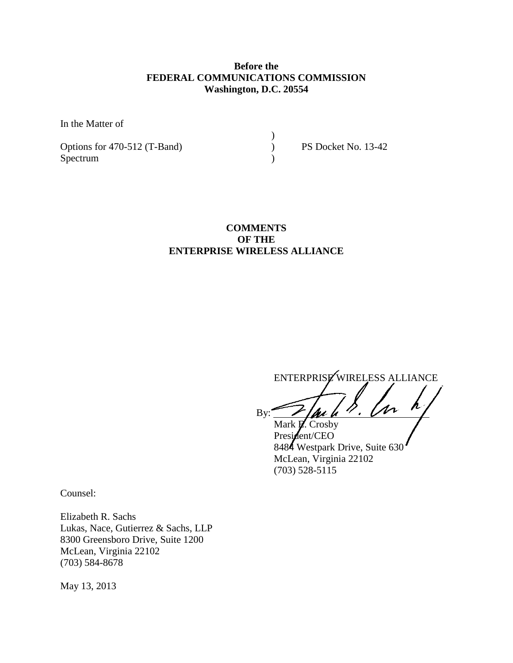# **Before the FEDERAL COMMUNICATIONS COMMISSION Washington, D.C. 20554**

)

In the Matter of

Options for 470-512 (T-Band) PS Docket No. 13-42 Spectrum (1)

# **COMMENTS OF THE ENTERPRISE WIRELESS ALLIANCE**

ENTERPRISE WIRELESS ALLIANCE

By:  $\angle$  / au h  $\%$ . Un  $\angle$ 

Mark **E.** Crosby President/CEO 8484 Westpark Drive, Suite 630 McLean, Virginia 22102 (703) 528-5115

Counsel:

Elizabeth R. Sachs Lukas, Nace, Gutierrez & Sachs, LLP 8300 Greensboro Drive, Suite 1200 McLean, Virginia 22102 (703) 584-8678

May 13, 2013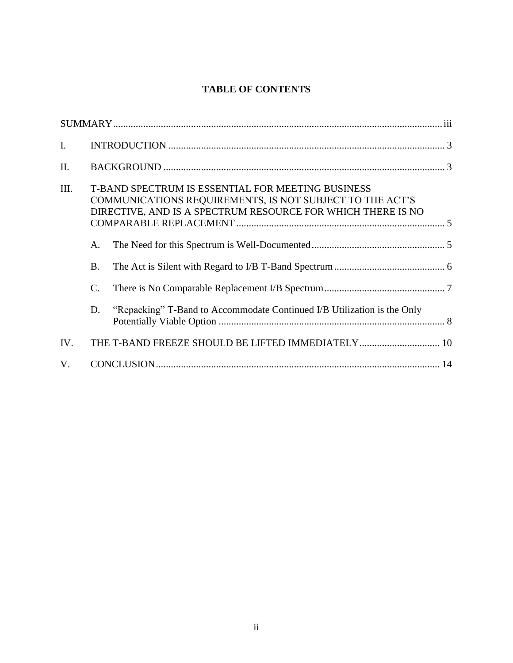# **TABLE OF CONTENTS**

| $\mathbf{I}$ . |                                                                                                                                                                              |                                                                         |  |
|----------------|------------------------------------------------------------------------------------------------------------------------------------------------------------------------------|-------------------------------------------------------------------------|--|
| II.            |                                                                                                                                                                              |                                                                         |  |
| III.           | T-BAND SPECTRUM IS ESSENTIAL FOR MEETING BUSINESS<br>COMMUNICATIONS REQUIREMENTS, IS NOT SUBJECT TO THE ACT'S<br>DIRECTIVE, AND IS A SPECTRUM RESOURCE FOR WHICH THERE IS NO |                                                                         |  |
|                | A.                                                                                                                                                                           |                                                                         |  |
|                | <b>B.</b>                                                                                                                                                                    |                                                                         |  |
|                | $\mathcal{C}$ .                                                                                                                                                              |                                                                         |  |
|                | D.                                                                                                                                                                           | "Repacking" T-Band to Accommodate Continued I/B Utilization is the Only |  |
| IV.            | THE T-BAND FREEZE SHOULD BE LIFTED IMMEDIATELY 10                                                                                                                            |                                                                         |  |
| V.             |                                                                                                                                                                              |                                                                         |  |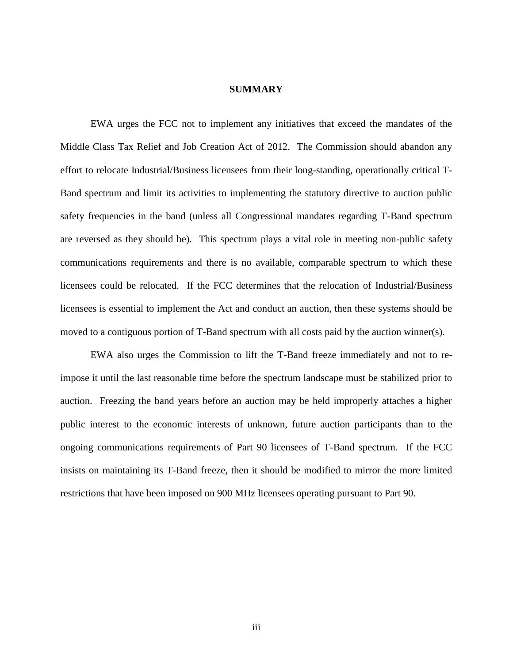### **SUMMARY**

EWA urges the FCC not to implement any initiatives that exceed the mandates of the Middle Class Tax Relief and Job Creation Act of 2012. The Commission should abandon any effort to relocate Industrial/Business licensees from their long-standing, operationally critical T-Band spectrum and limit its activities to implementing the statutory directive to auction public safety frequencies in the band (unless all Congressional mandates regarding T-Band spectrum are reversed as they should be). This spectrum plays a vital role in meeting non-public safety communications requirements and there is no available, comparable spectrum to which these licensees could be relocated. If the FCC determines that the relocation of Industrial/Business licensees is essential to implement the Act and conduct an auction, then these systems should be moved to a contiguous portion of T-Band spectrum with all costs paid by the auction winner(s).

EWA also urges the Commission to lift the T-Band freeze immediately and not to reimpose it until the last reasonable time before the spectrum landscape must be stabilized prior to auction. Freezing the band years before an auction may be held improperly attaches a higher public interest to the economic interests of unknown, future auction participants than to the ongoing communications requirements of Part 90 licensees of T-Band spectrum. If the FCC insists on maintaining its T-Band freeze, then it should be modified to mirror the more limited restrictions that have been imposed on 900 MHz licensees operating pursuant to Part 90.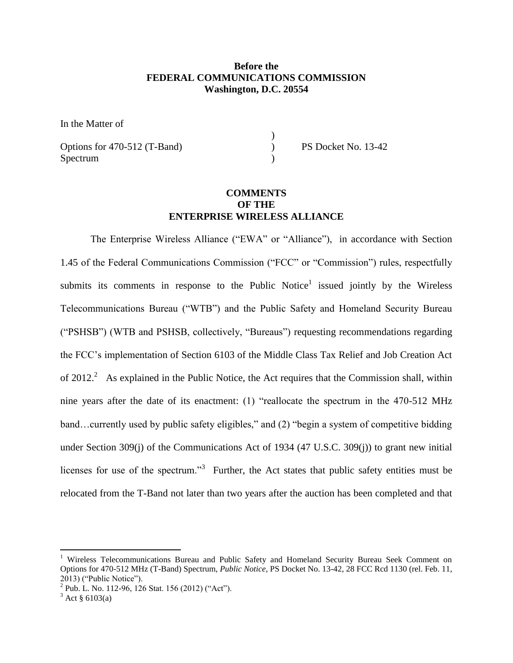### **Before the FEDERAL COMMUNICATIONS COMMISSION Washington, D.C. 20554**

)

In the Matter of

Options for 470-512 (T-Band) PS Docket No. 13-42 Spectrum )

## **COMMENTS OF THE ENTERPRISE WIRELESS ALLIANCE**

The Enterprise Wireless Alliance ("EWA" or "Alliance"), in accordance with Section 1.45 of the Federal Communications Commission ("FCC" or "Commission") rules, respectfully submits its comments in response to the Public Notice<sup>1</sup> issued jointly by the Wireless Telecommunications Bureau ("WTB") and the Public Safety and Homeland Security Bureau ("PSHSB") (WTB and PSHSB, collectively, "Bureaus") requesting recommendations regarding the FCC's implementation of Section 6103 of the Middle Class Tax Relief and Job Creation Act of 2012.<sup>2</sup> As explained in the Public Notice, the Act requires that the Commission shall, within nine years after the date of its enactment: (1) "reallocate the spectrum in the 470-512 MHz band…currently used by public safety eligibles," and (2) "begin a system of competitive bidding under Section 309(j) of the Communications Act of 1934 (47 U.S.C. 309(j)) to grant new initial licenses for use of the spectrum."<sup>3</sup> Further, the Act states that public safety entities must be relocated from the T-Band not later than two years after the auction has been completed and that

<sup>&</sup>lt;sup>1</sup> Wireless Telecommunications Bureau and Public Safety and Homeland Security Bureau Seek Comment on Options for 470-512 MHz (T-Band) Spectrum, *Public Notice*, PS Docket No. 13-42, 28 FCC Rcd 1130 (rel. Feb. 11, 2013) ("Public Notice").

 $^{2}$  Pub. L. No. 112-96, 126 Stat. 156 (2012) ("Act").

 $3$  Act § 6103(a)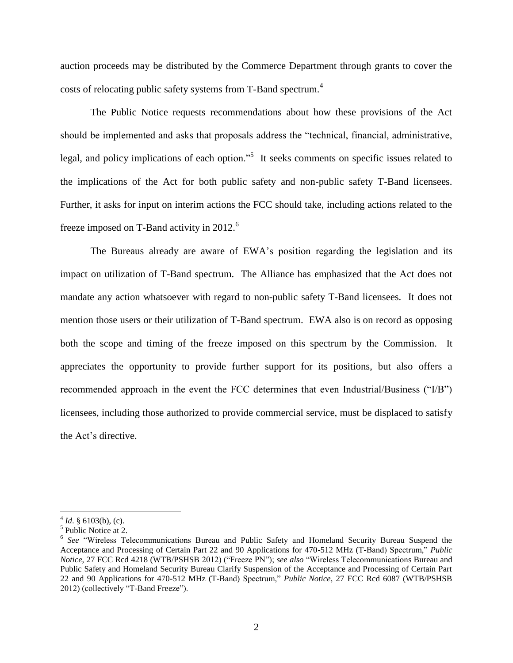auction proceeds may be distributed by the Commerce Department through grants to cover the costs of relocating public safety systems from T-Band spectrum.<sup>4</sup>

The Public Notice requests recommendations about how these provisions of the Act should be implemented and asks that proposals address the "technical, financial, administrative, legal, and policy implications of each option."<sup>5</sup> It seeks comments on specific issues related to the implications of the Act for both public safety and non-public safety T-Band licensees. Further, it asks for input on interim actions the FCC should take, including actions related to the freeze imposed on T-Band activity in 2012.<sup>6</sup>

The Bureaus already are aware of EWA's position regarding the legislation and its impact on utilization of T-Band spectrum. The Alliance has emphasized that the Act does not mandate any action whatsoever with regard to non-public safety T-Band licensees. It does not mention those users or their utilization of T-Band spectrum. EWA also is on record as opposing both the scope and timing of the freeze imposed on this spectrum by the Commission. It appreciates the opportunity to provide further support for its positions, but also offers a recommended approach in the event the FCC determines that even Industrial/Business ("I/B") licensees, including those authorized to provide commercial service, must be displaced to satisfy the Act's directive.

 $4$  *Id.* § 6103(b), (c).

<sup>&</sup>lt;sup>5</sup> Public Notice at 2.

<sup>&</sup>lt;sup>6</sup> See "Wireless Telecommunications Bureau and Public Safety and Homeland Security Bureau Suspend the Acceptance and Processing of Certain Part 22 and 90 Applications for 470-512 MHz (T-Band) Spectrum," *Public Notice*, 27 FCC Rcd 4218 (WTB/PSHSB 2012) ("Freeze PN"); *see also* "Wireless Telecommunications Bureau and Public Safety and Homeland Security Bureau Clarify Suspension of the Acceptance and Processing of Certain Part 22 and 90 Applications for 470-512 MHz (T-Band) Spectrum," *Public Notice*, 27 FCC Rcd 6087 (WTB/PSHSB 2012) (collectively "T-Band Freeze").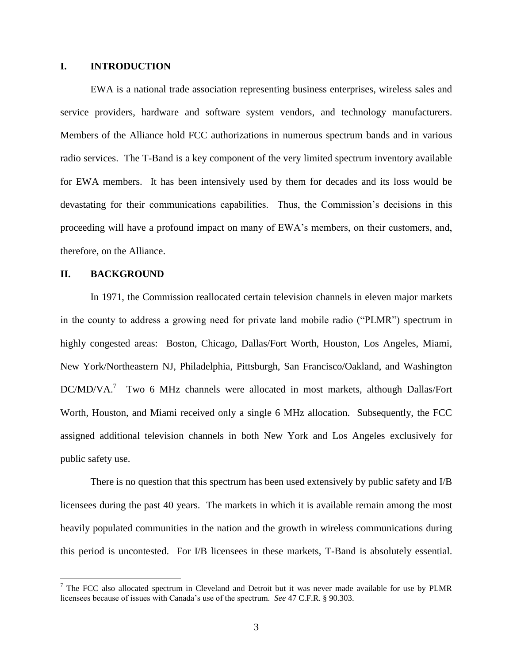### **I. INTRODUCTION**

EWA is a national trade association representing business enterprises, wireless sales and service providers, hardware and software system vendors, and technology manufacturers. Members of the Alliance hold FCC authorizations in numerous spectrum bands and in various radio services. The T-Band is a key component of the very limited spectrum inventory available for EWA members. It has been intensively used by them for decades and its loss would be devastating for their communications capabilities. Thus, the Commission's decisions in this proceeding will have a profound impact on many of EWA's members, on their customers, and, therefore, on the Alliance.

#### **II. BACKGROUND**

 $\overline{a}$ 

In 1971, the Commission reallocated certain television channels in eleven major markets in the county to address a growing need for private land mobile radio ("PLMR") spectrum in highly congested areas: Boston, Chicago, Dallas/Fort Worth, Houston, Los Angeles, Miami, New York/Northeastern NJ, Philadelphia, Pittsburgh, San Francisco/Oakland, and Washington DC/MD/VA.<sup>7</sup> Two 6 MHz channels were allocated in most markets, although Dallas/Fort Worth, Houston, and Miami received only a single 6 MHz allocation. Subsequently, the FCC assigned additional television channels in both New York and Los Angeles exclusively for public safety use.

There is no question that this spectrum has been used extensively by public safety and I/B licensees during the past 40 years. The markets in which it is available remain among the most heavily populated communities in the nation and the growth in wireless communications during this period is uncontested. For I/B licensees in these markets, T-Band is absolutely essential.

 $<sup>7</sup>$  The FCC also allocated spectrum in Cleveland and Detroit but it was never made available for use by PLMR</sup> licensees because of issues with Canada's use of the spectrum. *See* 47 C.F.R. § 90.303.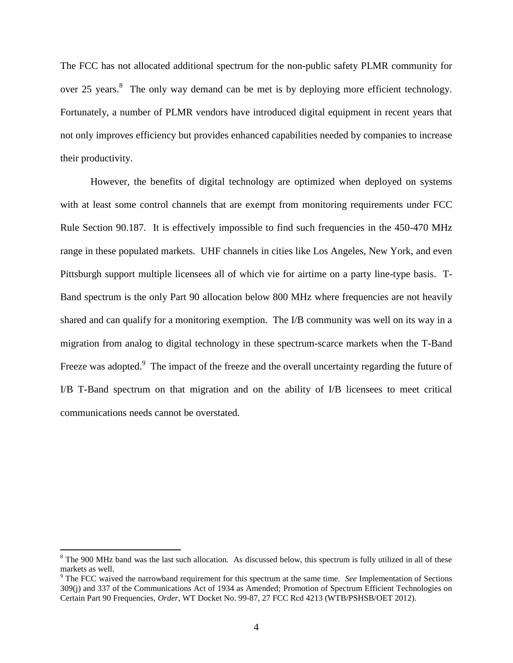The FCC has not allocated additional spectrum for the non-public safety PLMR community for over 25 years.<sup>8</sup> The only way demand can be met is by deploying more efficient technology. Fortunately, a number of PLMR vendors have introduced digital equipment in recent years that not only improves efficiency but provides enhanced capabilities needed by companies to increase their productivity.

However, the benefits of digital technology are optimized when deployed on systems with at least some control channels that are exempt from monitoring requirements under FCC Rule Section 90.187. It is effectively impossible to find such frequencies in the 450-470 MHz range in these populated markets. UHF channels in cities like Los Angeles, New York, and even Pittsburgh support multiple licensees all of which vie for airtime on a party line-type basis. T-Band spectrum is the only Part 90 allocation below 800 MHz where frequencies are not heavily shared and can qualify for a monitoring exemption. The I/B community was well on its way in a migration from analog to digital technology in these spectrum-scarce markets when the T-Band Freeze was adopted.<sup>9</sup> The impact of the freeze and the overall uncertainty regarding the future of I/B T-Band spectrum on that migration and on the ability of I/B licensees to meet critical communications needs cannot be overstated.

<sup>&</sup>lt;sup>8</sup> The 900 MHz band was the last such allocation. As discussed below, this spectrum is fully utilized in all of these markets as well.

<sup>9</sup> The FCC waived the narrowband requirement for this spectrum at the same time. *See* Implementation of Sections 309(j) and 337 of the Communications Act of 1934 as Amended; Promotion of Spectrum Efficient Technologies on Certain Part 90 Frequencies, *Order*, WT Docket No. 99-87, 27 FCC Rcd 4213 (WTB/PSHSB/OET 2012).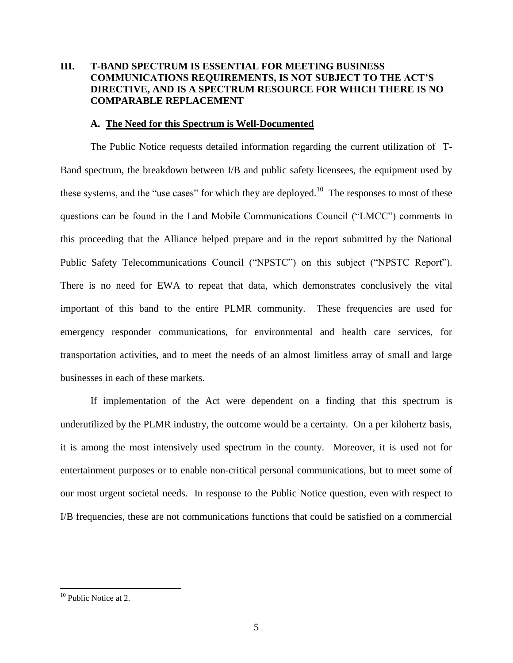# **III. T-BAND SPECTRUM IS ESSENTIAL FOR MEETING BUSINESS COMMUNICATIONS REQUIREMENTS, IS NOT SUBJECT TO THE ACT'S DIRECTIVE, AND IS A SPECTRUM RESOURCE FOR WHICH THERE IS NO COMPARABLE REPLACEMENT**

#### **A. The Need for this Spectrum is Well-Documented**

The Public Notice requests detailed information regarding the current utilization of T-Band spectrum, the breakdown between I/B and public safety licensees, the equipment used by these systems, and the "use cases" for which they are deployed.<sup>10</sup> The responses to most of these questions can be found in the Land Mobile Communications Council ("LMCC") comments in this proceeding that the Alliance helped prepare and in the report submitted by the National Public Safety Telecommunications Council ("NPSTC") on this subject ("NPSTC Report"). There is no need for EWA to repeat that data, which demonstrates conclusively the vital important of this band to the entire PLMR community. These frequencies are used for emergency responder communications, for environmental and health care services, for transportation activities, and to meet the needs of an almost limitless array of small and large businesses in each of these markets.

If implementation of the Act were dependent on a finding that this spectrum is underutilized by the PLMR industry, the outcome would be a certainty. On a per kilohertz basis, it is among the most intensively used spectrum in the county. Moreover, it is used not for entertainment purposes or to enable non-critical personal communications, but to meet some of our most urgent societal needs. In response to the Public Notice question, even with respect to I/B frequencies, these are not communications functions that could be satisfied on a commercial

<sup>&</sup>lt;sup>10</sup> Public Notice at 2.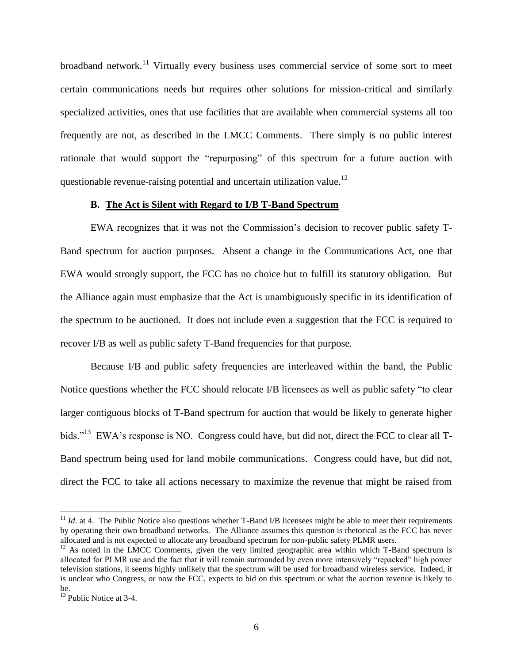broadband network.<sup>11</sup> Virtually every business uses commercial service of some sort to meet certain communications needs but requires other solutions for mission-critical and similarly specialized activities, ones that use facilities that are available when commercial systems all too frequently are not, as described in the LMCC Comments. There simply is no public interest rationale that would support the "repurposing" of this spectrum for a future auction with questionable revenue-raising potential and uncertain utilization value.<sup>12</sup>

#### **B. The Act is Silent with Regard to I/B T-Band Spectrum**

EWA recognizes that it was not the Commission's decision to recover public safety T-Band spectrum for auction purposes. Absent a change in the Communications Act, one that EWA would strongly support, the FCC has no choice but to fulfill its statutory obligation. But the Alliance again must emphasize that the Act is unambiguously specific in its identification of the spectrum to be auctioned. It does not include even a suggestion that the FCC is required to recover I/B as well as public safety T-Band frequencies for that purpose.

Because I/B and public safety frequencies are interleaved within the band, the Public Notice questions whether the FCC should relocate I/B licensees as well as public safety "to clear larger contiguous blocks of T-Band spectrum for auction that would be likely to generate higher bids."<sup>13</sup> EWA's response is NO. Congress could have, but did not, direct the FCC to clear all T-Band spectrum being used for land mobile communications. Congress could have, but did not, direct the FCC to take all actions necessary to maximize the revenue that might be raised from

 $11$  *Id.* at 4. The Public Notice also questions whether T-Band I/B licensees might be able to meet their requirements by operating their own broadband networks. The Alliance assumes this question is rhetorical as the FCC has never allocated and is not expected to allocate any broadband spectrum for non-public safety PLMR users.

<sup>&</sup>lt;sup>12</sup> As noted in the LMCC Comments, given the very limited geographic area within which T-Band spectrum is allocated for PLMR use and the fact that it will remain surrounded by even more intensively "repacked" high power television stations, it seems highly unlikely that the spectrum will be used for broadband wireless service. Indeed, it is unclear who Congress, or now the FCC, expects to bid on this spectrum or what the auction revenue is likely to be.

 $13$  Public Notice at 3-4.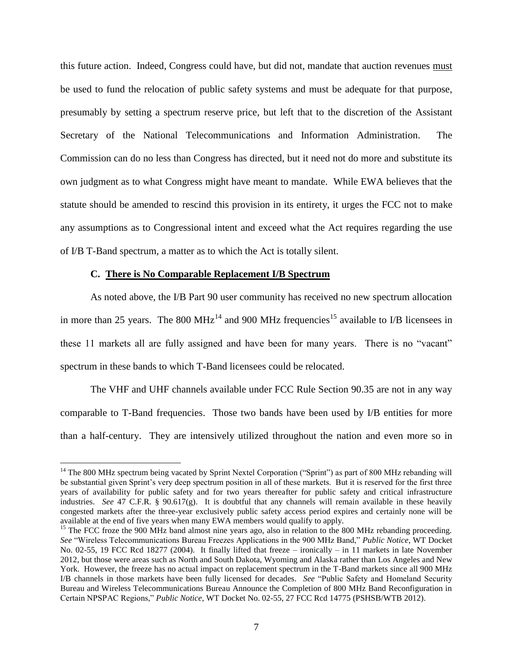this future action. Indeed, Congress could have, but did not, mandate that auction revenues must be used to fund the relocation of public safety systems and must be adequate for that purpose, presumably by setting a spectrum reserve price, but left that to the discretion of the Assistant Secretary of the National Telecommunications and Information Administration. The Commission can do no less than Congress has directed, but it need not do more and substitute its own judgment as to what Congress might have meant to mandate. While EWA believes that the statute should be amended to rescind this provision in its entirety, it urges the FCC not to make any assumptions as to Congressional intent and exceed what the Act requires regarding the use of I/B T-Band spectrum, a matter as to which the Act is totally silent.

#### **C. There is No Comparable Replacement I/B Spectrum**

 $\overline{a}$ 

As noted above, the I/B Part 90 user community has received no new spectrum allocation in more than 25 years. The 800 MHz<sup>14</sup> and 900 MHz frequencies<sup>15</sup> available to I/B licensees in these 11 markets all are fully assigned and have been for many years. There is no "vacant" spectrum in these bands to which T-Band licensees could be relocated.

The VHF and UHF channels available under FCC Rule Section 90.35 are not in any way comparable to T-Band frequencies. Those two bands have been used by I/B entities for more than a half-century. They are intensively utilized throughout the nation and even more so in

<sup>&</sup>lt;sup>14</sup> The 800 MHz spectrum being vacated by Sprint Nextel Corporation ("Sprint") as part of 800 MHz rebanding will be substantial given Sprint's very deep spectrum position in all of these markets. But it is reserved for the first three years of availability for public safety and for two years thereafter for public safety and critical infrastructure industries. *See* 47 C.F.R. § 90.617(g). It is doubtful that any channels will remain available in these heavily congested markets after the three-year exclusively public safety access period expires and certainly none will be available at the end of five years when many EWA members would qualify to apply.

<sup>&</sup>lt;sup>15</sup> The FCC froze the 900 MHz band almost nine years ago, also in relation to the 800 MHz rebanding proceeding. *See* "Wireless Telecommunications Bureau Freezes Applications in the 900 MHz Band," *Public Notice*, WT Docket No. 02-55, 19 FCC Rcd 18277 (2004). It finally lifted that freeze – ironically – in 11 markets in late November 2012, but those were areas such as North and South Dakota, Wyoming and Alaska rather than Los Angeles and New York. However, the freeze has no actual impact on replacement spectrum in the T-Band markets since all 900 MHz I/B channels in those markets have been fully licensed for decades*. See* "Public Safety and Homeland Security Bureau and Wireless Telecommunications Bureau Announce the Completion of 800 MHz Band Reconfiguration in Certain NPSPAC Regions," *Public Notice*, WT Docket No. 02-55, 27 FCC Rcd 14775 (PSHSB/WTB 2012).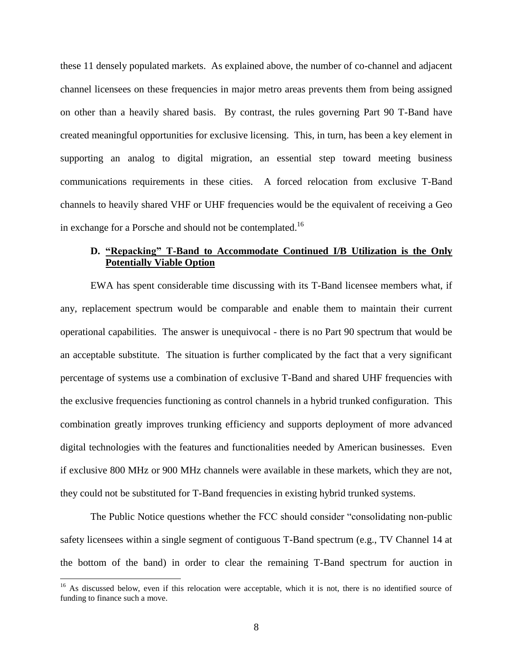these 11 densely populated markets. As explained above, the number of co-channel and adjacent channel licensees on these frequencies in major metro areas prevents them from being assigned on other than a heavily shared basis. By contrast, the rules governing Part 90 T-Band have created meaningful opportunities for exclusive licensing. This, in turn, has been a key element in supporting an analog to digital migration, an essential step toward meeting business communications requirements in these cities. A forced relocation from exclusive T-Band channels to heavily shared VHF or UHF frequencies would be the equivalent of receiving a Geo in exchange for a Porsche and should not be contemplated.<sup>16</sup>

### **D. "Repacking" T-Band to Accommodate Continued I/B Utilization is the Only Potentially Viable Option**

EWA has spent considerable time discussing with its T-Band licensee members what, if any, replacement spectrum would be comparable and enable them to maintain their current operational capabilities. The answer is unequivocal - there is no Part 90 spectrum that would be an acceptable substitute. The situation is further complicated by the fact that a very significant percentage of systems use a combination of exclusive T-Band and shared UHF frequencies with the exclusive frequencies functioning as control channels in a hybrid trunked configuration. This combination greatly improves trunking efficiency and supports deployment of more advanced digital technologies with the features and functionalities needed by American businesses. Even if exclusive 800 MHz or 900 MHz channels were available in these markets, which they are not, they could not be substituted for T-Band frequencies in existing hybrid trunked systems.

The Public Notice questions whether the FCC should consider "consolidating non-public safety licensees within a single segment of contiguous T-Band spectrum (e.g., TV Channel 14 at the bottom of the band) in order to clear the remaining T-Band spectrum for auction in

<sup>&</sup>lt;sup>16</sup> As discussed below, even if this relocation were acceptable, which it is not, there is no identified source of funding to finance such a move.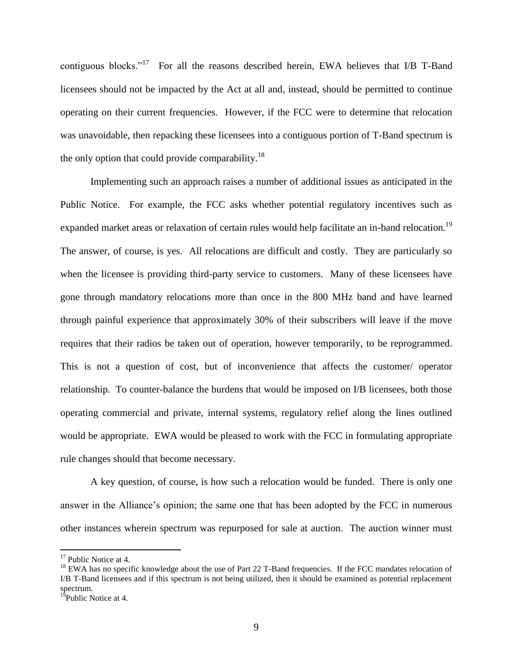contiguous blocks."<sup>17</sup> For all the reasons described herein, EWA believes that I/B T-Band licensees should not be impacted by the Act at all and, instead, should be permitted to continue operating on their current frequencies. However, if the FCC were to determine that relocation was unavoidable, then repacking these licensees into a contiguous portion of T-Band spectrum is the only option that could provide comparability.<sup>18</sup>

Implementing such an approach raises a number of additional issues as anticipated in the Public Notice. For example, the FCC asks whether potential regulatory incentives such as expanded market areas or relaxation of certain rules would help facilitate an in-band relocation.<sup>19</sup> The answer, of course, is yes. All relocations are difficult and costly. They are particularly so when the licensee is providing third-party service to customers. Many of these licensees have gone through mandatory relocations more than once in the 800 MHz band and have learned through painful experience that approximately 30% of their subscribers will leave if the move requires that their radios be taken out of operation, however temporarily, to be reprogrammed. This is not a question of cost, but of inconvenience that affects the customer/ operator relationship. To counter-balance the burdens that would be imposed on I/B licensees, both those operating commercial and private, internal systems, regulatory relief along the lines outlined would be appropriate. EWA would be pleased to work with the FCC in formulating appropriate rule changes should that become necessary.

A key question, of course, is how such a relocation would be funded. There is only one answer in the Alliance's opinion; the same one that has been adopted by the FCC in numerous other instances wherein spectrum was repurposed for sale at auction. The auction winner must

<sup>&</sup>lt;sup>17</sup> Public Notice at 4.

<sup>&</sup>lt;sup>18</sup> EWA has no specific knowledge about the use of Part 22 T-Band frequencies. If the FCC mandates relocation of I/B T-Band licensees and if this spectrum is not being utilized, then it should be examined as potential replacement spectrum.

<sup>&</sup>lt;sup>19</sup>Public Notice at 4.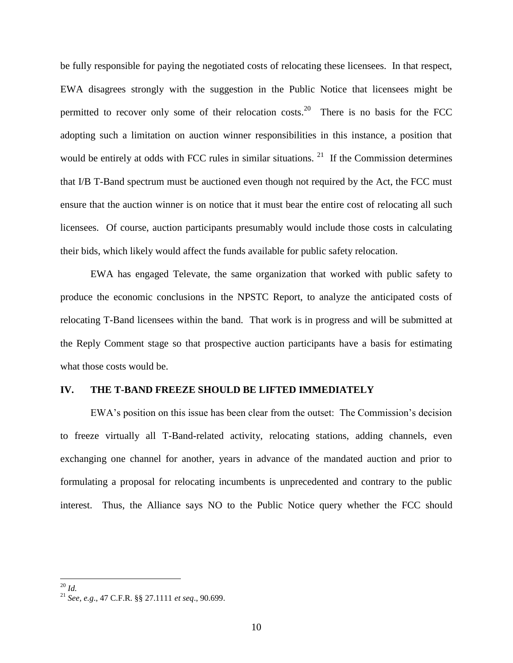be fully responsible for paying the negotiated costs of relocating these licensees. In that respect, EWA disagrees strongly with the suggestion in the Public Notice that licensees might be permitted to recover only some of their relocation costs.<sup>20</sup> There is no basis for the FCC adopting such a limitation on auction winner responsibilities in this instance, a position that would be entirely at odds with FCC rules in similar situations.  $21$  If the Commission determines that I/B T-Band spectrum must be auctioned even though not required by the Act, the FCC must ensure that the auction winner is on notice that it must bear the entire cost of relocating all such licensees. Of course, auction participants presumably would include those costs in calculating their bids, which likely would affect the funds available for public safety relocation.

EWA has engaged Televate, the same organization that worked with public safety to produce the economic conclusions in the NPSTC Report, to analyze the anticipated costs of relocating T-Band licensees within the band. That work is in progress and will be submitted at the Reply Comment stage so that prospective auction participants have a basis for estimating what those costs would be.

#### **IV. THE T-BAND FREEZE SHOULD BE LIFTED IMMEDIATELY**

EWA's position on this issue has been clear from the outset: The Commission's decision to freeze virtually all T-Band-related activity, relocating stations, adding channels, even exchanging one channel for another, years in advance of the mandated auction and prior to formulating a proposal for relocating incumbents is unprecedented and contrary to the public interest. Thus, the Alliance says NO to the Public Notice query whether the FCC should

<sup>20</sup> *Id.*

<sup>21</sup> *See, e.g*., 47 C.F.R. §§ 27.1111 *et seq*., 90.699.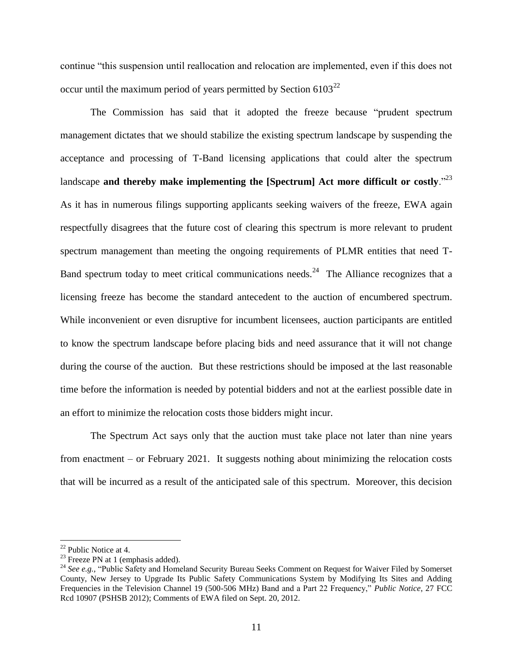continue "this suspension until reallocation and relocation are implemented, even if this does not occur until the maximum period of years permitted by Section  $6103^{22}$ 

The Commission has said that it adopted the freeze because "prudent spectrum management dictates that we should stabilize the existing spectrum landscape by suspending the acceptance and processing of T-Band licensing applications that could alter the spectrum landscape **and thereby make implementing the [Spectrum] Act more difficult or costly.**"<sup>23</sup> As it has in numerous filings supporting applicants seeking waivers of the freeze, EWA again respectfully disagrees that the future cost of clearing this spectrum is more relevant to prudent spectrum management than meeting the ongoing requirements of PLMR entities that need T-Band spectrum today to meet critical communications needs.<sup>24</sup> The Alliance recognizes that a licensing freeze has become the standard antecedent to the auction of encumbered spectrum. While inconvenient or even disruptive for incumbent licensees, auction participants are entitled to know the spectrum landscape before placing bids and need assurance that it will not change during the course of the auction. But these restrictions should be imposed at the last reasonable time before the information is needed by potential bidders and not at the earliest possible date in an effort to minimize the relocation costs those bidders might incur.

The Spectrum Act says only that the auction must take place not later than nine years from enactment – or February 2021. It suggests nothing about minimizing the relocation costs that will be incurred as a result of the anticipated sale of this spectrum. Moreover, this decision

<sup>&</sup>lt;sup>22</sup> Public Notice at 4.

 $23$  Freeze PN at 1 (emphasis added).

<sup>&</sup>lt;sup>24</sup> See e.g., "Public Safety and Homeland Security Bureau Seeks Comment on Request for Waiver Filed by Somerset County, New Jersey to Upgrade Its Public Safety Communications System by Modifying Its Sites and Adding Frequencies in the Television Channel 19 (500-506 MHz) Band and a Part 22 Frequency," *Public Notice*, 27 FCC Rcd 10907 (PSHSB 2012); Comments of EWA filed on Sept. 20, 2012.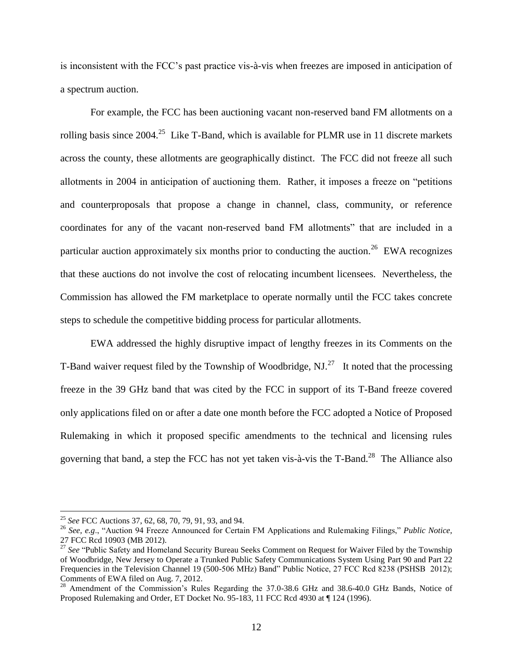is inconsistent with the FCC's past practice vis-à-vis when freezes are imposed in anticipation of a spectrum auction.

For example, the FCC has been auctioning vacant non-reserved band FM allotments on a rolling basis since 2004.<sup>25</sup> Like T-Band, which is available for PLMR use in 11 discrete markets across the county, these allotments are geographically distinct. The FCC did not freeze all such allotments in 2004 in anticipation of auctioning them. Rather, it imposes a freeze on "petitions and counterproposals that propose a change in channel, class, community, or reference coordinates for any of the vacant non-reserved band FM allotments" that are included in a particular auction approximately six months prior to conducting the auction.<sup>26</sup> EWA recognizes that these auctions do not involve the cost of relocating incumbent licensees. Nevertheless, the Commission has allowed the FM marketplace to operate normally until the FCC takes concrete steps to schedule the competitive bidding process for particular allotments.

EWA addressed the highly disruptive impact of lengthy freezes in its Comments on the T-Band waiver request filed by the Township of Woodbridge, NJ.<sup>27</sup> It noted that the processing freeze in the 39 GHz band that was cited by the FCC in support of its T-Band freeze covered only applications filed on or after a date one month before the FCC adopted a Notice of Proposed Rulemaking in which it proposed specific amendments to the technical and licensing rules governing that band, a step the FCC has not yet taken vis-à-vis the T-Band.<sup>28</sup> The Alliance also

<sup>25</sup> *See* FCC Auctions 37, 62, 68, 70, 79, 91, 93, and 94.

<sup>26</sup> *See, e.g*., "Auction 94 Freeze Announced for Certain FM Applications and Rulemaking Filings," *Public Notice*, 27 FCC Rcd 10903 (MB 2012).

<sup>&</sup>lt;sup>27</sup> See "Public Safety and Homeland Security Bureau Seeks Comment on Request for Waiver Filed by the Township of Woodbridge, New Jersey to Operate a Trunked Public Safety Communications System Using Part 90 and Part 22 Frequencies in the Television Channel 19 (500-506 MHz) Band" Public Notice, 27 FCC Rcd 8238 (PSHSB 2012); Comments of EWA filed on Aug. 7, 2012.

<sup>&</sup>lt;sup>28</sup> Amendment of the Commission's Rules Regarding the 37.0-38.6 GHz and 38.6-40.0 GHz Bands, Notice of Proposed Rulemaking and Order, ET Docket No. 95-183, 11 FCC Rcd 4930 at ¶ 124 (1996).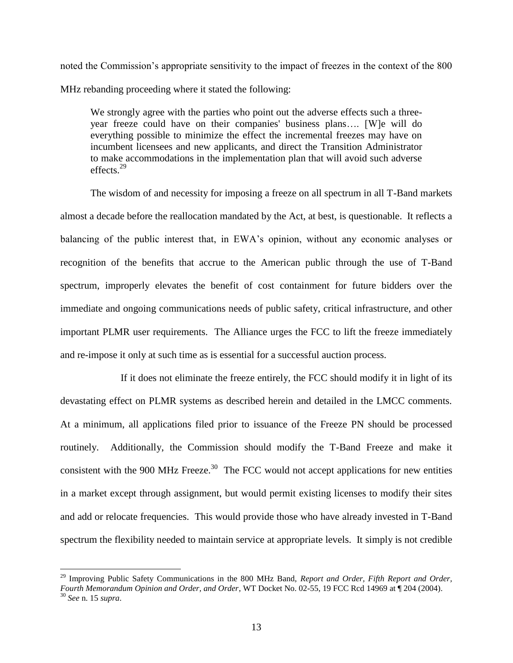noted the Commission's appropriate sensitivity to the impact of freezes in the context of the 800 MHz rebanding proceeding where it stated the following:

We strongly agree with the parties who point out the adverse effects such a threeyear freeze could have on their companies' business plans…. [W]e will do everything possible to minimize the effect the incremental freezes may have on incumbent licensees and new applicants, and direct the Transition Administrator to make accommodations in the implementation plan that will avoid such adverse effects.<sup>29</sup>

The wisdom of and necessity for imposing a freeze on all spectrum in all T-Band markets almost a decade before the reallocation mandated by the Act, at best, is questionable. It reflects a balancing of the public interest that, in EWA's opinion, without any economic analyses or recognition of the benefits that accrue to the American public through the use of T-Band spectrum, improperly elevates the benefit of cost containment for future bidders over the immediate and ongoing communications needs of public safety, critical infrastructure, and other important PLMR user requirements. The Alliance urges the FCC to lift the freeze immediately and re-impose it only at such time as is essential for a successful auction process.

If it does not eliminate the freeze entirely, the FCC should modify it in light of its devastating effect on PLMR systems as described herein and detailed in the LMCC comments. At a minimum, all applications filed prior to issuance of the Freeze PN should be processed routinely. Additionally, the Commission should modify the T-Band Freeze and make it consistent with the 900 MHz Freeze.<sup>30</sup> The FCC would not accept applications for new entities in a market except through assignment, but would permit existing licenses to modify their sites and add or relocate frequencies. This would provide those who have already invested in T-Band spectrum the flexibility needed to maintain service at appropriate levels. It simply is not credible

<sup>29</sup> Improving Public Safety Communications in the 800 MHz Band, *Report and Order, Fifth Report and Order, Fourth Memorandum Opinion and Order, and Order*, WT Docket No. 02-55, 19 FCC Rcd 14969 at ¶ 204 (2004). <sup>30</sup> *See* n. 15 *supra*.